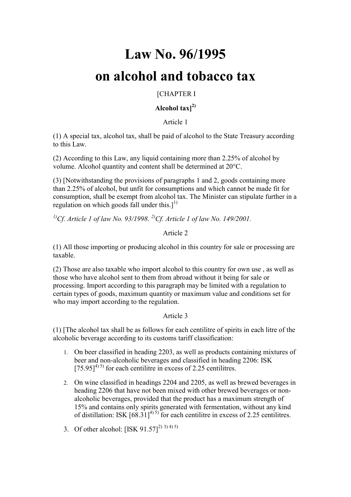# **Law No. 96/1995**

# **on alcohol and tobacco tax**

### [CHAPTER I

### **Alcohol tax]2)**

Article 1

(1) A special tax, alcohol tax, shall be paid of alcohol to the State Treasury according to this Law.

(2) According to this Law, any liquid containing more than 2.25% of alcohol by volume. Alcohol quantity and content shall be determined at 20°C.

(3) [Notwithstanding the provisions of paragraphs 1 and 2, goods containing more than 2.25% of alcohol, but unfit for consumptions and which cannot be made fit for consumption, shall be exempt from alcohol tax. The Minister can stipulate further in a regulation on which goods fall under this.<sup>[1]</sup>

*1)Cf. Article 1 of law No. 93/1998. 2)Cf. Article 1 of law No. 149/2001.*

### Article 2

(1) All those importing or producing alcohol in this country for sale or processing are taxable.

(2) Those are also taxable who import alcohol to this country for own use , as well as those who have alcohol sent to them from abroad without it being for sale or processing. Import according to this paragraph may be limited with a regulation to certain types of goods, maximum quantity or maximum value and conditions set for who may import according to the regulation.

### Article 3

(1) [The alcohol tax shall be as follows for each centilitre of spirits in each litre of the alcoholic beverage according to its customs tariff classification:

- 1. On beer classified in heading 2203, as well as products containing mixtures of beer and non-alcoholic beverages and classified in heading 2206: ISK  $[75.95]^{(4)}$  for each centilitre in excess of 2.25 centilitres.
- 2. On wine classified in headings 2204 and 2205, as well as brewed beverages in heading 2206 that have not been mixed with other brewed beverages or nonalcoholic beverages, provided that the product has a maximum strength of 15% and contains only spirits generated with fermentation, without any kind of distillation: ISK  $[68.31]^{4(5)}$  for each centilitre in excess of 2.25 centilitres.
- 3. Of other alcohol:  $[ISK 91.57]^{2(3)}$  3) 4) 5)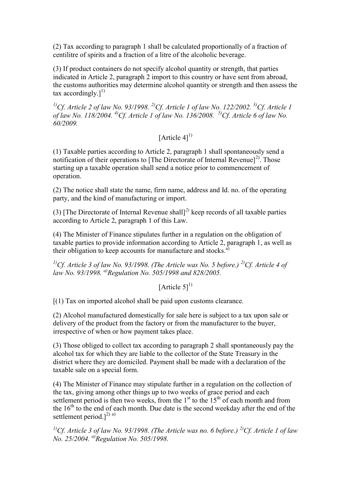(2) Tax according to paragraph 1 shall be calculated proportionally of a fraction of centilitre of spirits and a fraction of a litre of the alcoholic beverage.

(3) If product containers do not specify alcohol quantity or strength, that parties indicated in Article 2, paragraph 2 import to this country or have sent from abroad, the customs authorities may determine alcohol quantity or strength and then assess the tax accordingly. $]^{1}$ 

*1)Cf. Article 2 of law No. 93/1998. 2)Cf. Article 1 of law No. 122/2002. 3)Cf. Article 1 of law No. 118/2004. 4)Cf. Article 1 of law No. 136/2008. 5)Cf. Article 6 of law No. 60/2009.*

## [Article  $41^{1}$ ]

(1) Taxable parties according to Article 2, paragraph 1 shall spontaneously send a notification of their operations to [The Directorate of Internal Revenue]<sup>2)</sup>. Those starting up a taxable operation shall send a notice prior to commencement of operation.

(2) The notice shall state the name, firm name, address and Id. no. of the operating party, and the kind of manufacturing or import.

(3) [The Directorate of Internal Revenue shall]*2)* keep records of all taxable parties according to Article 2, paragraph 1 of this Law.

(4) The Minister of Finance stipulates further in a regulation on the obligation of taxable parties to provide information according to Article 2, paragraph 1, as well as their obligation to keep accounts for manufacture and stocks. $a^{(i)}$ 

*1)Cf. Article 3 of law No. 93/1998. (The Article was No. 5 before.) 2)Cf. Article 4 of law No. 93/1998. a)Regulation No. 505/1998 and 828/2005.*

[Article  $5$ ]<sup>1)</sup>

[(1) Tax on imported alcohol shall be paid upon customs clearance.

(2) Alcohol manufactured domestically for sale here is subject to a tax upon sale or delivery of the product from the factory or from the manufacturer to the buyer, irrespective of when or how payment takes place.

(3) Those obliged to collect tax according to paragraph 2 shall spontaneously pay the alcohol tax for which they are liable to the collector of the State Treasury in the district where they are domiciled. Payment shall be made with a declaration of the taxable sale on a special form.

(4) The Minister of Finance may stipulate further in a regulation on the collection of the tax, giving among other things up to two weeks of grace period and each settlement period is then two weeks, from the  $1<sup>st</sup>$  to the  $15<sup>th</sup>$  of each month and from the  $16<sup>th</sup>$  to the end of each month. Due date is the second weekday after the end of the settlement period.<sup>[2) a)</sup>

*1)Cf. Article 3 of law No. 93/1998. (The Article was no. 6 before.) 2)Cf. Article 1 of law No. 25/2004. a)Regulation No. 505/1998.*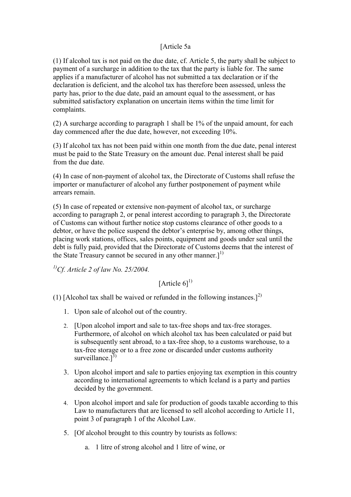### [Article 5a

(1) If alcohol tax is not paid on the due date, cf. Article 5, the party shall be subject to payment of a surcharge in addition to the tax that the party is liable for. The same applies if a manufacturer of alcohol has not submitted a tax declaration or if the declaration is deficient, and the alcohol tax has therefore been assessed, unless the party has, prior to the due date, paid an amount equal to the assessment, or has submitted satisfactory explanation on uncertain items within the time limit for complaints.

(2) A surcharge according to paragraph 1 shall be 1% of the unpaid amount, for each day commenced after the due date, however, not exceeding 10%.

(3) If alcohol tax has not been paid within one month from the due date, penal interest must be paid to the State Treasury on the amount due. Penal interest shall be paid from the due date.

(4) In case of non-payment of alcohol tax, the Directorate of Customs shall refuse the importer or manufacturer of alcohol any further postponement of payment while arrears remain.

(5) In case of repeated or extensive non-payment of alcohol tax, or surcharge according to paragraph 2, or penal interest according to paragraph 3, the Directorate of Customs can without further notice stop customs clearance of other goods to a debtor, or have the police suspend the debtor's enterprise by, among other things, placing work stations, offices, sales points, equipment and goods under seal until the debt is fully paid, provided that the Directorate of Customs deems that the interest of the State Treasury cannot be secured in any other manner. $]^{1}$ 

*1)Cf. Article 2 of law No. 25/2004.*

[Article  $61^{1}$ ]

(1) [Alcohol tax shall be waived or refunded in the following instances.]<sup>2)</sup>

- 1. Upon sale of alcohol out of the country.
- 2. [Upon alcohol import and sale to tax-free shops and tax-free storages. Furthermore, of alcohol on which alcohol tax has been calculated or paid but is subsequently sent abroad, to a tax-free shop, to a customs warehouse, to a tax-free storage or to a free zone or discarded under customs authority surveillance. $]^{3)}$
- 3. Upon alcohol import and sale to parties enjoying tax exemption in this country according to international agreements to which Iceland is a party and parties decided by the government.
- 4. Upon alcohol import and sale for production of goods taxable according to this Law to manufacturers that are licensed to sell alcohol according to Article 11, point 3 of paragraph 1 of the Alcohol Law.
- 5. [Of alcohol brought to this country by tourists as follows:
	- a. 1 litre of strong alcohol and 1 litre of wine, or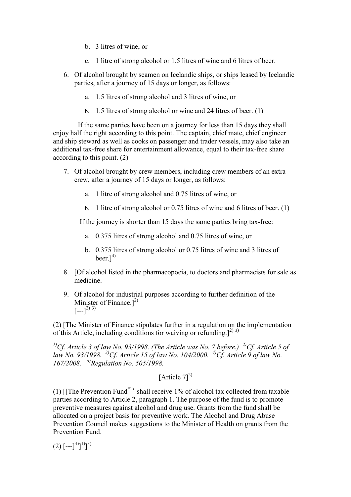- b. 3 litres of wine, or
- c. 1 litre of strong alcohol or 1.5 litres of wine and 6 litres of beer.
- 6. Of alcohol brought by seamen on Icelandic ships, or ships leased by Icelandic parties, after a journey of 15 days or longer, as follows:
	- a. 1.5 litres of strong alcohol and 3 litres of wine, or
	- b. 1.5 litres of strong alcohol or wine and 24 litres of beer. (1)

 If the same parties have been on a journey for less than 15 days they shall enjoy half the right according to this point. The captain, chief mate, chief engineer and ship steward as well as cooks on passenger and trader vessels, may also take an additional tax-free share for entertainment allowance, equal to their tax-free share according to this point. (2)

- 7. Of alcohol brought by crew members, including crew members of an extra crew, after a journey of 15 days or longer, as follows:
	- a. 1 litre of strong alcohol and 0.75 litres of wine, or
	- b. 1 litre of strong alcohol or 0.75 litres of wine and 6 litres of beer. (1)

If the journey is shorter than 15 days the same parties bring tax-free:

- a. 0.375 litres of strong alcohol and 0.75 litres of wine, or
- b. 0.375 litres of strong alcohol or 0.75 litres of wine and 3 litres of beer. $]^{4)}$
- 8. [Of alcohol listed in the pharmacopoeia, to doctors and pharmacists for sale as medicine.
- 9. Of alcohol for industrial purposes according to further definition of the Minister of Finance. $]^{2)}$  $[--1]^{2}$ <sup>3)</sup>

(2) [The Minister of Finance stipulates further in a regulation on the implementation of this Article, including conditions for waiving or refunding.<sup>[2] a)</sup>

*1)Cf. Article 3 of law No. 93/1998. (The Article was No. 7 before.) 2)Cf. Article 5 of law No. 93/1998. 3)Cf. Article 15 of law No. 104/2000. 4)Cf. Article 9 of law No. 167/2008. a)Regulation No. 505/1998.*

## [Article  $71^{2}$ ]

(1) [[The Prevention Fund<sup>\*1)</sup> shall receive 1% of alcohol tax collected from taxable parties according to Article 2, paragraph 1. The purpose of the fund is to promote preventive measures against alcohol and drug use. Grants from the fund shall be allocated on a project basis for preventive work. The Alcohol and Drug Abuse Prevention Council makes suggestions to the Minister of Health on grants from the Prevention Fund.

 $(2)$   $[-1]^{4}$ ]<sup>1)</sup>]<sup>3)</sup>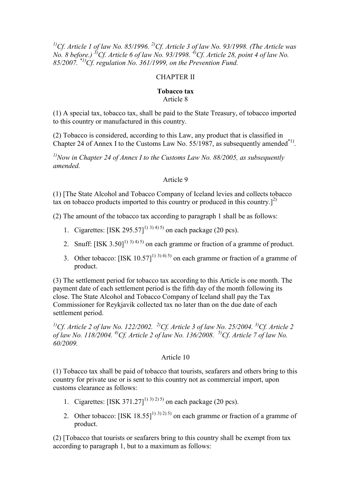*1)Cf. Article 1 of law No. 85/1996. 2)Cf. Article 3 of law No. 93/1998. (The Article was No. 8 before.) 3)Cf. Article 6 of law No. 93/1998. 4)Cf. Article 28, point 4 of law No. 85/2007. \*1)Cf. regulation No. 361/1999, on the Prevention Fund.*

### CHAPTER II

### **Tobacco tax** Article 8

(1) A special tax, tobacco tax, shall be paid to the State Treasury, of tobacco imported to this country or manufactured in this country.

(2) Tobacco is considered, according to this Law, any product that is classified in Chapter 24 of Annex I to the Customs Law No. 55/1987, as subsequently amended $*$ <sup>1)</sup>.

*1)Now in Chapter 24 of Annex I to the Customs Law No. 88/2005, as subsequently amended.*

### Article 9

(1) [The State Alcohol and Tobacco Company of Iceland levies and collects tobacco tax on tobacco products imported to this country or produced in this country.<sup>[2]</sup>

(2) The amount of the tobacco tax according to paragraph 1 shall be as follows:

- 1. Cigarettes:  $[ISK 295.57]^{(1)}$ <sup>3) 4) 5)</sup> on each package (20 pcs).
- 2. Snuff:  $[ISK 3.50]^{1}$ <sup>3) 4) 5)</sup> on each gramme or fraction of a gramme of product.
- 3. Other tobacco:  $[ISK 10.57]^{(1)}$ <sup>3) 4) 5)</sup> on each gramme or fraction of a gramme of product.

(3) The settlement period for tobacco tax according to this Article is one month. The payment date of each settlement period is the fifth day of the month following its close. The State Alcohol and Tobacco Company of Iceland shall pay the Tax Commissioner for Reykjavik collected tax no later than on the due date of each settlement period.

*1)Cf. Article 2 of law No. 122/2002. 2)Cf. Article 3 of law No. 25/2004. 3)Cf. Article 2 of law No. 118/2004. 4)Cf. Article 2 of law No. 136/2008. 5)Cf. Article 7 of law No. 60/2009.*

### Article 10

(1) Tobacco tax shall be paid of tobacco that tourists, seafarers and others bring to this country for private use or is sent to this country not as commercial import, upon customs clearance as follows:

- 1. Cigarettes:  $[ISK 371.27]^{(1)}$ <sup>3) 2) 5)</sup> on each package (20 pcs).
- 2. Other tobacco:  $[ISK 18.55]^{(1)}$ <sup>3) 2) 5)</sup> on each gramme or fraction of a gramme of product.

(2) [Tobacco that tourists or seafarers bring to this country shall be exempt from tax according to paragraph 1, but to a maximum as follows: